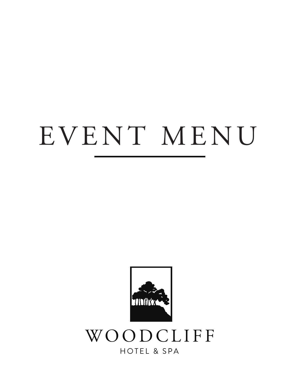# EVENT MENU

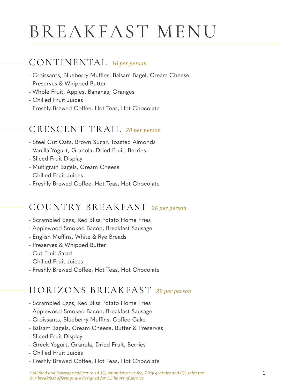## BREAKFAST MENU

### CONTINENTAL *16 per person*

- Croissants, Blueberry Muffins, Balsam Bagel, Cream Cheese
- Preserves & Whipped Butter
- Whole Fruit, Apples, Bananas, Oranges
- Chilled Fruit Juices
- Freshly Brewed Coffee, Hot Teas, Hot Chocolate

## CRESCENT TRAIL *20 per person*

- Steel Cut Oats, Brown Sugar, Toasted Almonds
- Vanilla Yogurt, Granola, Dried Fruit, Berries
- Sliced Fruit Display
- Multigrain Bagels, Cream Cheese
- Chilled Fruit Juices
- Freshly Brewed Coffee, Hot Teas, Hot Chocolate

## COUNTRY BREAKFAST *26 per person*

- Scrambled Eggs, Red Bliss Potato Home Fries
- Applewood Smoked Bacon, Breakfast Sausage
- English Muffins, White & Rye Breads
- Preserves & Whipped Butter
- Cut Fruit Salad
- Chilled Fruit Juices
- Freshly Brewed Coffee, Hot Teas, Hot Chocolate

## HORIZONS BREAKFAST *29 per person*

- Scrambled Eggs, Red Bliss Potato Home Fries
- Applewood Smoked Bacon, Breakfast Sausage
- Croissants, Blueberry Muffins, Coffee Cake
- Balsam Bagels, Cream Cheese, Butter & Preserves
- Sliced Fruit Display
- Greek Yogurt, Granola, Dried Fruit, Berries
- Chilled Fruit Juices
- Freshly Brewed Coffee, Hot Teas, Hot Chocolate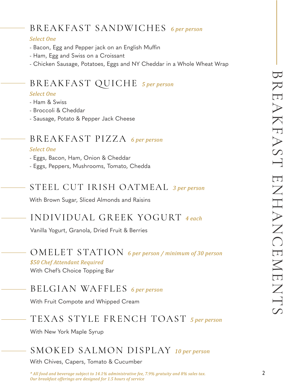## BREAKFAST SANDWICHES *6 per person*

#### *Select One*

- Bacon, Egg and Pepper jack on an English Muffin
- Ham, Egg and Swiss on a Croissant
- Chicken Sausage, Potatoes, Eggs and NY Cheddar in a Whole Wheat Wrap

## BREAKFAST QUICHE *5 per person*

#### *Select One*

- Ham & Swiss
- Broccoli & Cheddar
- Sausage, Potato & Pepper Jack Cheese

## BREAKFAST PIZZA *6 per person*

#### *Select One*

- Eggs, Bacon, Ham, Onion & Cheddar

- Eggs, Peppers, Mushrooms, Tomato, Chedda

### STEEL CUT IRISH OATMEAL *3 per person*

With Brown Sugar, Sliced Almonds and Raisins

## INDIVIDUAL GREEK YOGURT *4 each*

Vanilla Yogurt, Granola, Dried Fruit & Berries

### OMELET STATION *6 per person / minimum of 30 person*

#### *\$50 Chef Attendant Required*

With Chef's Choice Topping Bar

## BELGIAN WAFFLES *6 per person*

With Fruit Compote and Whipped Cream

## TEXAS STYLE FRENCH TOAST *5 per person*

With New York Maple Syrup

## SMOKED SALMON DISPLAY *10 per person*

With Chives, Capers, Tomato & Cucumber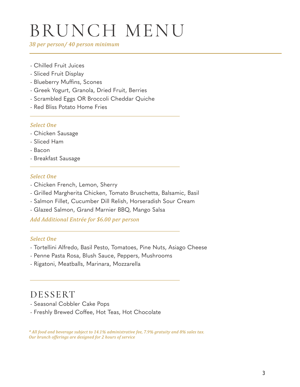## BRUNCH MENU

*38 per person/ 40 person minimum*

- Chilled Fruit Juices
- Sliced Fruit Display
- Blueberry Muffins, Scones
- Greek Yogurt, Granola, Dried Fruit, Berries
- Scrambled Eggs OR Broccoli Cheddar Quiche
- Red Bliss Potato Home Fries

#### *Select One*

- Chicken Sausage
- Sliced Ham
- Bacon
- Breakfast Sausage

#### *Select One*

- Chicken French, Lemon, Sherry
- Grilled Margherita Chicken, Tomato Bruschetta, Balsamic, Basil
- Salmon Fillet, Cucumber Dill Relish, Horseradish Sour Cream
- Glazed Salmon, Grand Marnier BBQ, Mango Salsa

*Add Additional Entrée for \$6.00 per person*

#### *Select One*

- Tortellini Alfredo, Basil Pesto, Tomatoes, Pine Nuts, Asiago Cheese
- Penne Pasta Rosa, Blush Sauce, Peppers, Mushrooms
- Rigatoni, Meatballs, Marinara, Mozzarella

### DESSERT

- Seasonal Cobbler Cake Pops
- Freshly Brewed Coffee, Hot Teas, Hot Chocolate

*\* All food and beverage subject to 14.1% administrative fee, 7.9% gratuity and 8% sales tax. Our brunch offerings are designed for 2 hours of service*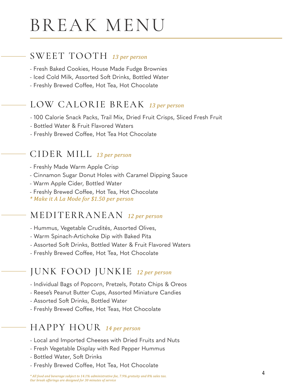## BREAK MENU

### SWEET TOOTH *13 per person*

- Fresh Baked Cookies, House Made Fudge Brownies
- Iced Cold Milk, Assorted Soft Drinks, Bottled Water
- Freshly Brewed Coffee, Hot Tea, Hot Chocolate

## LOW CALORIE BREAK *13 per person*

- 100 Calorie Snack Packs, Trail Mix, Dried Fruit Crisps, Sliced Fresh Fruit
- Bottled Water & Fruit Flavored Waters
- Freshly Brewed Coffee, Hot Tea Hot Chocolate

### CIDER MILL *13 per person*

- Freshly Made Warm Apple Crisp
- Cinnamon Sugar Donut Holes with Caramel Dipping Sauce
- Warm Apple Cider, Bottled Water
- Freshly Brewed Coffee, Hot Tea, Hot Chocolate
- *\* Make it A La Mode for \$1.50 per person*

## MEDITERRANEAN *12 per person*

- Hummus, Vegetable Crudités, Assorted Olives,
- Warm Spinach-Artichoke Dip with Baked Pita
- Assorted Soft Drinks, Bottled Water & Fruit Flavored Waters
- Freshly Brewed Coffee, Hot Tea, Hot Chocolate

## JUNK FOOD JUNKIE *12 per person*

- Individual Bags of Popcorn, Pretzels, Potato Chips & Oreos
- Reese's Peanut Butter Cups, Assorted Miniature Candies
- Assorted Soft Drinks, Bottled Water
- Freshly Brewed Coffee, Hot Teas, Hot Chocolate

### HAPPY HOUR *14 per person*

- Local and Imported Cheeses with Dried Fruits and Nuts
- Fresh Vegetable Display with Red Pepper Hummus
- Bottled Water, Soft Drinks
- Freshly Brewed Coffee, Hot Tea, Hot Chocolate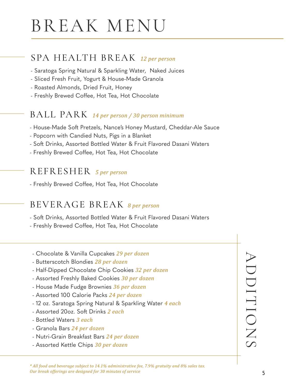## BREAK MENU

## SPA HEALTH BREAK *12 per person*

- Saratoga Spring Natural & Sparkling Water, Naked Juices
- Sliced Fresh Fruit, Yogurt & House-Made Granola
- Roasted Almonds, Dried Fruit, Honey
- Freshly Brewed Coffee, Hot Tea, Hot Chocolate

### BALL PARK *14 per person / 30 person minimum*

- House-Made Soft Pretzels, Nance's Honey Mustard, Cheddar-Ale Sauce
- Popcorn with Candied Nuts, Pigs in a Blanket
- Soft Drinks, Assorted Bottled Water & Fruit Flavored Dasani Waters
- Freshly Brewed Coffee, Hot Tea, Hot Chocolate

### REFRESHER *5 per person*

- Freshly Brewed Coffee, Hot Tea, Hot Chocolate

## BEVERAGE BREAK *8 per person*

- Soft Drinks, Assorted Bottled Water & Fruit Flavored Dasani Waters
- Freshly Brewed Coffee, Hot Tea, Hot Chocolate
- Chocolate & Vanilla Cupcakes *29 per dozen*
- Butterscotch Blondies *28 per dozen*
- Half-Dipped Chocolate Chip Cookies *32 per dozen*
- Assorted Freshly Baked Cookies *30 per dozen*
- House Made Fudge Brownies *36 per dozen*
- Assorted 100 Calorie Packs *24 per dozen*
- 12 oz. Saratoga Spring Natural & Sparkling Water *4 each*
- Assorted 20oz. Soft Drinks *2 each*
- Bottled Waters *3 each*
- Granola Bars *24 per dozen*
- Nutri-Grain Breakfast Bars *24 per dozen*
- Assorted Kettle Chips *30 per dozen*

ADDITIONS ADDITIONS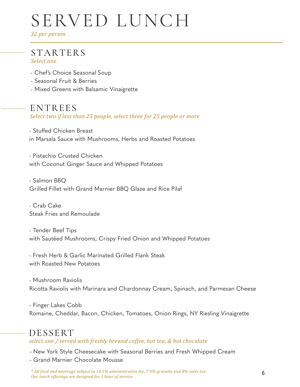## SERVED LUNCH

*32 per person*

#### STARTERS *Select one*

- Chef's Choice Seasonal Soup
- Seasonal Fruit & Berries
- Mixed Greens with Balsamic Vinaigrette

### ENTREES

*Select two if less than 25 people, select three for 25 people or more*

- Stuffed Chicken Breast in Marsala Sauce with Mushrooms, Herbs and Roasted Potatoes

- Pistachio Crusted Chicken with Coconut Ginger Sauce and Whipped Potatoes

- Salmon BBQ Grilled Fillet with Grand Marnier BBQ Glaze and Rice Pilaf

- Crab Cake Steak Fries and Remoulade

- Tender Beef Tips with Sautéed Mushrooms, Crispy Fried Onion and Whipped Potatoes

- Fresh Herb & Garlic Marinated Grilled Flank Steak with Roasted New Potatoes

- Mushroom Raviolis Ricotta Raviolis with Marinara and Chardonnay Cream, Spinach, and Parmesan Cheese

- Finger Lakes Cobb Romaine, Cheddar, Bacon, Chicken, Tomatoes, Onion Rings, NY Riesling Vinaigrette

## DESSERT

*select one / served with freshly brewed coffee, hot tea, & hot chocolate*

- New York Style Cheesecake with Seasonal Berries and Fresh Whipped Cream

- Grand Marnier Chocolate Mousse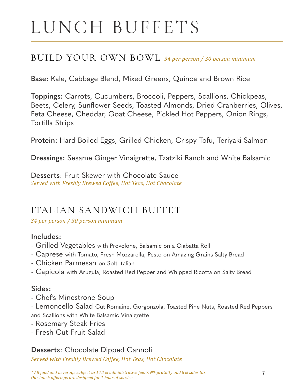### BUILD YOUR OWN BOWL *34 per person / 30 person minimum*

**Base:** Kale, Cabbage Blend, Mixed Greens, Quinoa and Brown Rice

**Toppings:** Carrots, Cucumbers, Broccoli, Peppers, Scallions, Chickpeas, Beets, Celery, Sunflower Seeds, Toasted Almonds, Dried Cranberries, Olives, Feta Cheese, Cheddar, Goat Cheese, Pickled Hot Peppers, Onion Rings, Tortilla Strips

**Protein:** Hard Boiled Eggs, Grilled Chicken, Crispy Tofu, Teriyaki Salmon

**Dressings:** Sesame Ginger Vinaigrette, Tzatziki Ranch and White Balsamic

**Desserts**: Fruit Skewer with Chocolate Sauce *Served with Freshly Brewed Coffee, Hot Teas, Hot Chocolate* 

### ITALIAN SANDWICH BUFFET

*34 per person / 30 person minimum*

#### **Includes:**

- Grilled Vegetables with Provolone, Balsamic on a Ciabatta Roll
- Caprese with Tomato, Fresh Mozzarella, Pesto on Amazing Grains Salty Bread
- Chicken Parmesan on Soft Italian
- Capicola with Arugula, Roasted Red Pepper and Whipped Ricotta on Salty Bread

#### **Sides:**

- Chef's Minestrone Soup
- Lemoncello Salad Cut Romaine, Gorgonzola, Toasted Pine Nuts, Roasted Red Peppers and Scallions with White Balsamic Vinaigrette
- Rosemary Steak Fries
- Fresh Cut Fruit Salad

#### **Desserts**: Chocolate Dipped Cannoli

*Served with Freshly Brewed Coffee, Hot Teas, Hot Chocolate*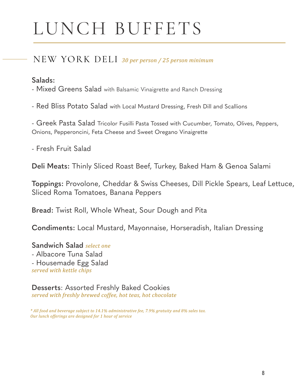### NEW YORK DELI *30 per person / 25 person minimum*

#### **Salads:**

- Mixed Greens Salad with Balsamic Vinaigrette and Ranch Dressing

- Red Bliss Potato Salad with Local Mustard Dressing, Fresh Dill and Scallions

- Greek Pasta Salad Tricolor Fusilli Pasta Tossed with Cucumber, Tomato, Olives, Peppers, Onions, Pepperoncini, Feta Cheese and Sweet Oregano Vinaigrette

- Fresh Fruit Salad

**Deli Meats:** Thinly Sliced Roast Beef, Turkey, Baked Ham & Genoa Salami

**Toppings:** Provolone, Cheddar & Swiss Cheeses, Dill Pickle Spears, Leaf Lettuce, Sliced Roma Tomatoes, Banana Peppers

**Bread:** Twist Roll, Whole Wheat, Sour Dough and Pita

**Condiments:** Local Mustard, Mayonnaise, Horseradish, Italian Dressing

**Sandwich Salad** *select one* - Albacore Tuna Salad - Housemade Egg Salad *served with kettle chips* 

**Desserts**: Assorted Freshly Baked Cookies *served with freshly brewed coffee, hot teas, hot chocolate* 

*\* All food and beverage subject to 14.1% administrative fee, 7.9% gratuity and 8% sales tax. Our lunch offerings are designed for 1 hour of service*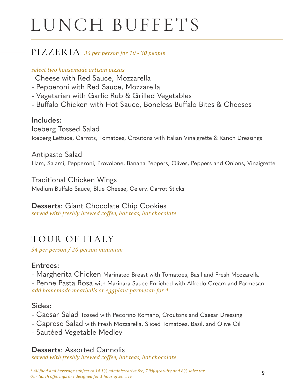### PIZZERIA *36 per person for 10 - 30 people*

#### *select two housemade artisan pizzas*

- Cheese with Red Sauce, Mozzarella
- Pepperoni with Red Sauce, Mozzarella
- Vegetarian with Garlic Rub & Grilled Vegetables
- Buffalo Chicken with Hot Sauce, Boneless Buffalo Bites & Cheeses

#### **Includes:**

Iceberg Tossed Salad Iceberg Lettuce, Carrots, Tomatoes, Croutons with Italian Vinaigrette & Ranch Dressings

Antipasto Salad Ham, Salami, Pepperoni, Provolone, Banana Peppers, Olives, Peppers and Onions, Vinaigrette

Traditional Chicken Wings Medium Buffalo Sauce, Blue Cheese, Celery, Carrot Sticks

#### **Desserts**: Giant Chocolate Chip Cookies

*served with freshly brewed coffee, hot teas, hot chocolate* 

## TOUR OF ITALY

*34 per person / 20 person minimum*

#### **Entrees:**

- Margherita Chicken Marinated Breast with Tomatoes, Basil and Fresh Mozzarella

- Penne Pasta Rosa with Marinara Sauce Enriched with Alfredo Cream and Parmesan *add homemade meatballs or eggplant parmesan for 4* 

#### **Sides:**

- Caesar Salad Tossed with Pecorino Romano, Croutons and Caesar Dressing
- Caprese Salad with Fresh Mozzarella, Sliced Tomatoes, Basil, and Olive Oil
- Sautéed Vegetable Medley

#### **Desserts**: Assorted Cannolis

*served with freshly brewed coffee, hot teas, hot chocolate*

*\* All food and beverage subject to 14.1% administrative fee, 7.9% gratuity and 8% sales tax. Our lunch offerings are designed for 1 hour of service*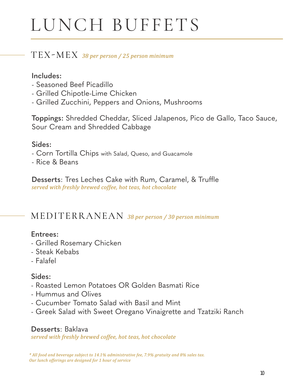### TEX-MEX *38 per person / 25 person minimum*

#### **Includes:**

- Seasoned Beef Picadillo
- Grilled Chipotle-Lime Chicken
- Grilled Zucchini, Peppers and Onions, Mushrooms

**Toppings:** Shredded Cheddar, Sliced Jalapenos, Pico de Gallo, Taco Sauce, Sour Cream and Shredded Cabbage

#### **Sides:**

- Corn Tortilla Chips with Salad, Queso, and Guacamole
- Rice & Beans

**Desserts: Tres Leches Cake with Rum, Caramel, & Truffle** *served with freshly brewed coffee, hot teas, hot chocolate*

## MEDITERRANEAN *38 per person / 30 person minimum*

#### **Entrees:**

- Grilled Rosemary Chicken
- Steak Kebabs
- Falafel

#### **Sides:**

- Roasted Lemon Potatoes OR Golden Basmati Rice
- Hummus and Olives
- Cucumber Tomato Salad with Basil and Mint
- Greek Salad with Sweet Oregano Vinaigrette and Tzatziki Ranch

#### **Desserts**: Baklava

*served with freshly brewed coffee, hot teas, hot chocolate*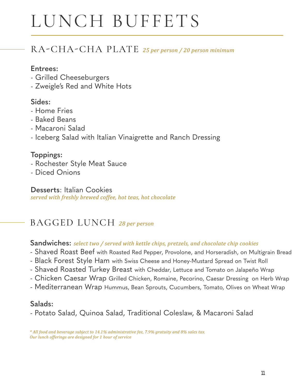## RA-CHA-CHA PLATE *25 per person / 20 person minimum*

#### **Entrees:**

- Grilled Cheeseburgers
- Zweigle's Red and White Hots

#### **Sides:**

- Home Fries
- Baked Beans
- Macaroni Salad
- Iceberg Salad with Italian Vinaigrette and Ranch Dressing

#### **Toppings:**

- Rochester Style Meat Sauce
- Diced Onions

#### **Desserts**: Italian Cookies

*served with freshly brewed coffee, hot teas, hot chocolate*

## BAGGED LUNCH *28 per person*

**Sandwiches:** *select two / served with kettle chips, pretzels, and chocolate chip cookies*

- Shaved Roast Beef with Roasted Red Pepper, Provolone, and Horseradish, on Multigrain Bread
- Black Forest Style Ham with Swiss Cheese and Honey-Mustard Spread on Twist Roll
- Shaved Roasted Turkey Breast with Cheddar, Lettuce and Tomato on Jalapeño Wrap
- Chicken Caesar Wrap Grilled Chicken, Romaine, Pecorino, Caesar Dressing on Herb Wrap
- Mediterranean Wrap Hummus, Bean Sprouts, Cucumbers, Tomato, Olives on Wheat Wrap

#### **Salads:**

- Potato Salad, Quinoa Salad, Traditional Coleslaw, & Macaroni Salad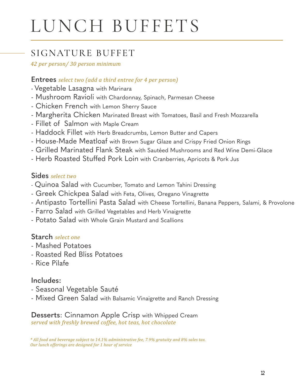## SIGNATURE BUFFET

*42 per person/ 30 person minimum* 

#### **Entrees** *select two (add a third entree for 4 per person)*

- Vegetable Lasagna with Marinara
- Mushroom Ravioli with Chardonnay, Spinach, Parmesan Cheese
- Chicken French with Lemon Sherry Sauce
- Margherita Chicken Marinated Breast with Tomatoes, Basil and Fresh Mozzarella
- Fillet of Salmon with Maple Cream
- Haddock Fillet with Herb Breadcrumbs, Lemon Butter and Capers
- House-Made Meatloaf with Brown Sugar Glaze and Crispy Fried Onion Rings
- Grilled Marinated Flank Steak with Sautéed Mushrooms and Red Wine Demi-Glace
- Herb Roasted Stuffed Pork Loin with Cranberries, Apricots & Pork Jus

#### **Sides** *select two*

- Quinoa Salad with Cucumber, Tomato and Lemon Tahini Dressing
- Greek Chickpea Salad with Feta, Olives, Oregano Vinagrette
- Antipasto Tortellini Pasta Salad with Cheese Tortellini, Banana Peppers, Salami, & Provolone
- Farro Salad with Grilled Vegetables and Herb Vinaigrette
- Potato Salad with Whole Grain Mustard and Scallions

#### **Starch** *select one*

- Mashed Potatoes
- Roasted Red Bliss Potatoes
- Rice Pilafe

#### **Includes:**

- Seasonal Vegetable Sauté
- Mixed Green Salad with Balsamic Vinaigrette and Ranch Dressing

#### **Desserts**: Cinnamon Apple Crisp with Whipped Cream *served with freshly brewed coffee, hot teas, hot chocolate*

*\* All food and beverage subject to 14.1% administrative fee, 7.9% gratuity and 8% sales tax. Our lunch offerings are designed for 1 hour of service*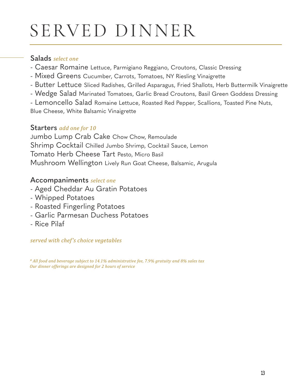## SERVED DINNER

#### **Salads** *select one*

- Caesar Romaine Lettuce, Parmigiano Reggiano, Croutons, Classic Dressing
- Mixed Greens Cucumber, Carrots, Tomatoes, NY Riesling Vinaigrette
- Butter Lettuce Sliced Radishes, Grilled Asparagus, Fried Shallots, Herb Buttermilk Vinaigrette
- Wedge Salad Marinated Tomatoes, Garlic Bread Croutons, Basil Green Goddess Dressing
- Lemoncello Salad Romaine Lettuce, Roasted Red Pepper, Scallions, Toasted Pine Nuts,

Blue Cheese, White Balsamic Vinaigrette

#### **Starters** *add one for 10*

Jumbo Lump Crab Cake Chow Chow, Remoulade Shrimp Cocktail Chilled Jumbo Shrimp, Cocktail Sauce, Lemon Tomato Herb Cheese Tart Pesto, Micro Basil Mushroom Wellington Lively Run Goat Cheese, Balsamic, Arugula

#### **Accompaniments** *select one*

- Aged Cheddar Au Gratin Potatoes
- Whipped Potatoes
- Roasted Fingerling Potatoes
- Garlic Parmesan Duchess Potatoes
- Rice Pilaf

#### *served with chef's choice vegetables*

*\* All food and beverage subject to 14.1% administrative fee, 7.9% gratuity and 8% sales tax Our dinner offerings are designed for 2 hours of service*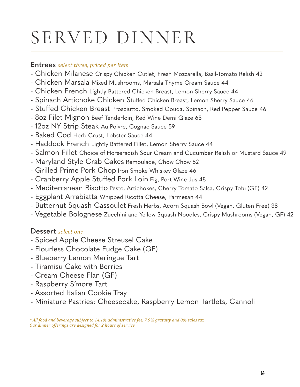## SERVED DINNER

#### **Entrees** *select three, priced per item*

- Chicken Milanese Crispy Chicken Cutlet, Fresh Mozzarella, Basil-Tomato Relish 42
- Chicken Marsala Mixed Mushrooms, Marsala Thyme Cream Sauce 44
- Chicken French Lightly Battered Chicken Breast, Lemon Sherry Sauce 44
- Spinach Artichoke Chicken Stuffed Chicken Breast, Lemon Sherry Sauce 46
- Stuffed Chicken Breast Prosciutto, Smoked Gouda, Spinach, Red Pepper Sauce 46
- 8oz Filet Mignon Beef Tenderloin, Red Wine Demi Glaze 65
- 12oz NY Strip Steak Au Poivre, Cognac Sauce 59
- Baked Cod Herb Crust, Lobster Sauce 44
- Haddock French Lightly Battered Fillet, Lemon Sherry Sauce 44
- Salmon Fillet Choice of Horseradish Sour Cream and Cucumber Relish or Mustard Sauce 49
- Maryland Style Crab Cakes Remoulade, Chow Chow 52
- Grilled Prime Pork Chop Iron Smoke Whiskey Glaze 46
- Cranberry Apple Stuffed Pork Loin Fig, Port Wine Jus 48
- Mediterranean Risotto Pesto, Artichokes, Cherry Tomato Salsa, Crispy Tofu (GF) 42
- Eggplant Arrabiatta Whipped Ricotta Cheese, Parmesan 44
- Butternut Squash Cassoulet Fresh Herbs, Acorn Squash Bowl (Vegan, Gluten Free) 38
- Vegetable Bolognese Zucchini and Yellow Squash Noodles, Crispy Mushrooms (Vegan, GF) 42

### **Dessert** *select one*

- Spiced Apple Cheese Streusel Cake
- Flourless Chocolate Fudge Cake (GF)
- Blueberry Lemon Meringue Tart
- Tiramisu Cake with Berries
- Cream Cheese Flan (GF)
- Raspberry S'more Tart
- Assorted Italian Cookie Tray
- Miniature Pastries: Cheesecake, Raspberry Lemon Tartlets, Cannoli

*\* All food and beverage subject to 14.1% administrative fee, 7.9% gratuity and 8% sales tax Our dinner offerings are designed for 2 hours of service*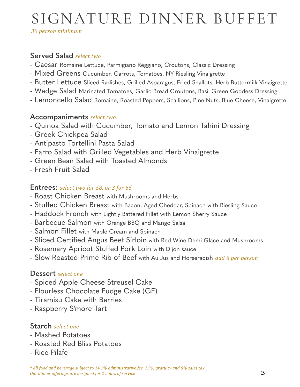## SIGNATURE DINNER BUFFET

*30 person minimum*

#### **Served Salad** *select two*

- Caesar Romaine Lettuce, Parmigiano Reggiano, Croutons, Classic Dressing
- Mixed Greens Cucumber, Carrots, Tomatoes, NY Riesling Vinaigrette
- Butter Lettuce Sliced Radishes, Grilled Asparagus, Fried Shallots, Herb Buttermilk Vinaigrette
- Wedge Salad Marinated Tomatoes, Garlic Bread Croutons, Basil Green Goddess Dressing
- Lemoncello Salad Romaine, Roasted Peppers, Scallions, Pine Nuts, Blue Cheese, Vinaigrette

#### **Accompaniments** *select two*

- Quinoa Salad with Cucumber, Tomato and Lemon Tahini Dressing
- Greek Chickpea Salad
- Antipasto Tortellini Pasta Salad
- Farro Salad with Grilled Vegetables and Herb Vinaigrette
- Green Bean Salad with Toasted Almonds
- Fresh Fruit Salad

#### **Entrees:** *select two for 58, or 3 for 65*

- Roast Chicken Breast with Mushrooms and Herbs
- Stuffed Chicken Breast with Bacon, Aged Cheddar, Spinach with Riesling Sauce
- Haddock French with Lightly Battered Fillet with Lemon Sherry Sauce
- Barbecue Salmon with Orange BBQ and Mango Salsa
- Salmon Fillet with Maple Cream and Spinach
- Sliced Certified Angus Beef Sirloin with Red Wine Demi Glace and Mushrooms
- Rosemary Apricot Stuffed Pork Loin with Dijon sauce
- Slow Roasted Prime Rib of Beef with Au Jus and Horseradish *add 6 per person*

#### **Dessert** *select one*

- Spiced Apple Cheese Streusel Cake
- Flourless Chocolate Fudge Cake (GF)
- Tiramisu Cake with Berries
- Raspberry S'more Tart

#### **Starch** *select one*

- Mashed Potatoes
- Roasted Red Bliss Potatoes
- Rice Pilafe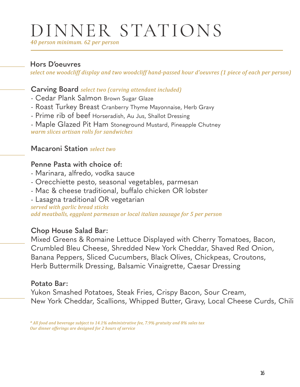## DINNER STATIONS

*40 person minimum. 62 per person*

#### **Hors D'oeuvres**

*select one woodcliff display and two woodcliff hand-passed hour d'oeuvres (1 piece of each per person)*

#### **Carving Board** *select two (carving attendant included)*

- Cedar Plank Salmon Brown Sugar Glaze
- Roast Turkey Breast Cranberry Thyme Mayonnaise, Herb Gravy
- Prime rib of beef Horseradish, Au Jus, Shallot Dressing
- Maple Glazed Pit Ham Stoneground Mustard, Pineapple Chutney

*warm slices artisan rolls for sandwiches*

#### **Macaroni Station** *select two*

#### **Penne Pasta with choice of:**

- Marinara, alfredo, vodka sauce
- Orecchiette pesto, seasonal vegetables, parmesan
- Mac & cheese traditional, buffalo chicken OR lobster
- Lasagna traditional OR vegetarian

*served with garlic bread sticks add meatballs, eggplant parmesan or local italian sausage for 5 per person*

#### **Chop House Salad Bar:**

Mixed Greens & Romaine Lettuce Displayed with Cherry Tomatoes, Bacon, Crumbled Bleu Cheese, Shredded New York Cheddar, Shaved Red Onion, Banana Peppers, Sliced Cucumbers, Black Olives, Chickpeas, Croutons, Herb Buttermilk Dressing, Balsamic Vinaigrette, Caesar Dressing

#### **Potato Bar:**

Yukon Smashed Potatoes, Steak Fries, Crispy Bacon, Sour Cream, New York Cheddar, Scallions, Whipped Butter, Gravy, Local Cheese Curds, Chili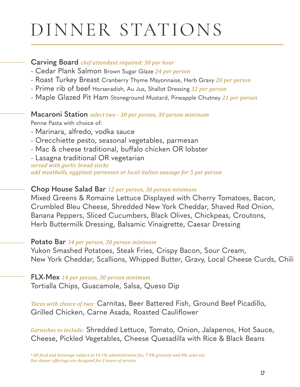## DINNER STATIONS

#### **Carving Board** *chef attendant required: 50 per hour*

- Cedar Plank Salmon Brown Sugar Glaze *24 per person*
- Roast Turkey Breast Cranberry Thyme Mayonnaise, Herb Gravy *20 per person*
- Prime rib of beef Horseradish, Au Jus, Shallot Dressing *32 per person*
- Maple Glazed Pit Ham Stoneground Mustard, Pineapple Chutney *21 per person*

#### **Macaroni Station** *select two - 30 per person, 30 person minimum*

Penne Pasta with choice of:

- Marinara, alfredo, vodka sauce
- Orecchiette pesto, seasonal vegetables, parmesan
- Mac & cheese traditional, buffalo chicken OR lobster
- Lasagna traditional OR vegetarian

*served with garlic bread sticks add meatballs, eggplant parmesan or local italian sausage for 5 per person*

#### **Chop House Salad Bar** *12 per person, 30 person minimum*

Mixed Greens & Romaine Lettuce Displayed with Cherry Tomatoes, Bacon, Crumbled Bleu Cheese, Shredded New York Cheddar, Shaved Red Onion, Banana Peppers, Sliced Cucumbers, Black Olives, Chickpeas, Croutons, Herb Buttermilk Dressing, Balsamic Vinaigrette, Caesar Dressing

#### **Potato Bar** *14 per person, 30 person minimum*

Yukon Smashed Potatoes, Steak Fries, Crispy Bacon, Sour Cream, New York Cheddar, Scallions, Whipped Butter, Gravy, Local Cheese Curds, Chili

#### **FLX-Mex** *14 per person, 30 person minimum*

Tortialla Chips, Guacamole, Salsa, Queso Dip

*Tacos with choice of two:* Carnitas, Beer Battered Fish, Ground Beef Picadillo, Grilled Chicken, Carne Asada, Roasted Cauliflower

*Garnishes to include:* Shredded Lettuce, Tomato, Onion, Jalapenos, Hot Sauce, Cheese, Pickled Vegetables, Cheese Quesadilla with Rice & Black Beans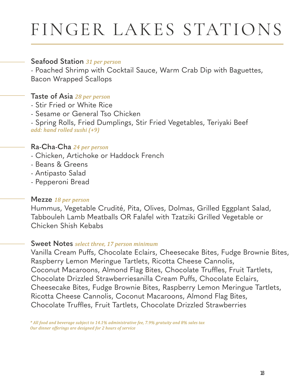## FINGER LAKES STATIONS

#### **Seafood Station** *31 per person*

- Poached Shrimp with Cocktail Sauce, Warm Crab Dip with Baguettes, Bacon Wrapped Scallops

#### **Taste of Asia** *28 per person*

- Stir Fried or White Rice
- Sesame or General Tso Chicken

- Spring Rolls, Fried Dumplings, Stir Fried Vegetables, Teriyaki Beef *add: hand rolled sushi (+9)*

#### **Ra-Cha-Cha** *24 per person*

- Chicken, Artichoke or Haddock French
- Beans & Greens
- Antipasto Salad
- Pepperoni Bread

#### **Mezze** *18 per person*

Hummus, Vegetable Crudité, Pita, Olives, Dolmas, Grilled Eggplant Salad, Tabbouleh Lamb Meatballs OR Falafel with Tzatziki Grilled Vegetable or Chicken Shish Kebabs

#### **Sweet Notes** *select three, 17 person minimum*

Vanilla Cream Puffs, Chocolate Eclairs, Cheesecake Bites, Fudge Brownie Bites, Raspberry Lemon Meringue Tartlets, Ricotta Cheese Cannolis, Coconut Macaroons, Almond Flag Bites, Chocolate Truffles, Fruit Tartlets, Chocolate Drizzled Strawberriesanilla Cream Puffs, Chocolate Eclairs, Cheesecake Bites, Fudge Brownie Bites, Raspberry Lemon Meringue Tartlets, Ricotta Cheese Cannolis, Coconut Macaroons, Almond Flag Bites, Chocolate Truffles, Fruit Tartlets, Chocolate Drizzled Strawberries

*<sup>\*</sup> All food and beverage subject to 14.1% administrative fee, 7.9% gratuity and 8% sales tax Our dinner offerings are designed for 2 hours of service*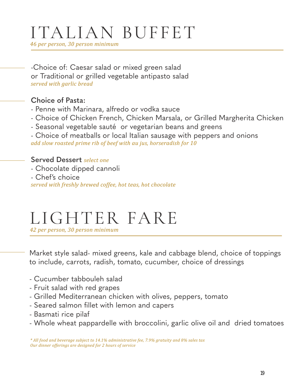## ITALIAN BUFFET

*46 per person, 30 person minimum*

-Choice of: Caesar salad or mixed green salad or Traditional or grilled vegetable antipasto salad *served with garlic bread*

#### **Choice of Pasta:**

- Penne with Marinara, alfredo or vodka sauce
- Choice of Chicken French, Chicken Marsala, or Grilled Margherita Chicken
- Seasonal vegetable sauté or vegetarian beans and greens

- Choice of meatballs or local Italian sausage with peppers and onions *add slow roasted prime rib of beef with au jus, horseradish for 10*

**Served Dessert** *select one* - Chocolate dipped cannoli - Chef's choice *served with freshly brewed coffee, hot teas, hot chocolate*

## LIGHTER FARE

*42 per person, 30 person minimum*

Market style salad- mixed greens, kale and cabbage blend, choice of toppings to include, carrots, radish, tomato, cucumber, choice of dressings

- Cucumber tabbouleh salad
- Fruit salad with red grapes
- Grilled Mediterranean chicken with olives, peppers, tomato
- Seared salmon fillet with lemon and capers
- Basmati rice pilaf
- Whole wheat pappardelle with broccolini, garlic olive oil and dried tomatoes

*\* All food and beverage subject to 14.1% administrative fee, 7.9% gratuity and 8% sales tax Our dinner offerings are designed for 2 hours of service*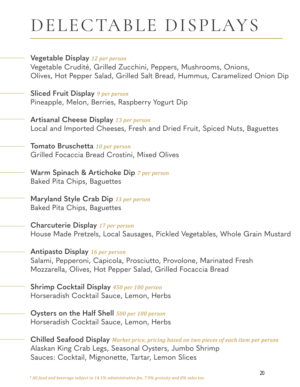## DELECTABLE DISPLAYS

#### **Vegetable Display** *12 per person*

Vegetable Crudité, Grilled Zucchini, Peppers, Mushrooms, Onions, Olives, Hot Pepper Salad, Grilled Salt Bread, Hummus, Caramelized Onion Dip

**Sliced Fruit Display** *9 per person* Pineapple, Melon, Berries, Raspberry Yogurt Dip

**Artisanal Cheese Display** *13 per person* Local and Imported Cheeses, Fresh and Dried Fruit, Spiced Nuts, Baguettes

**Tomato Bruschetta** *10 per person* Grilled Focaccia Bread Crostini, Mixed Olives

**Warm Spinach & Artichoke Dip** *7 per person* Baked Pita Chips, Baguettes

**Maryland Style Crab Dip** *13 per person* Baked Pita Chips, Baguettes

**Charcuterie Display** *17 per person* House Made Pretzels, Local Sausages, Pickled Vegetables, Whole Grain Mustard

**Antipasto Display** *16 per person* Salami, Pepperoni, Capicola, Prosciutto, Provolone, Marinated Fresh Mozzarella, Olives, Hot Pepper Salad, Grilled Focaccia Bread

**Shrimp Cocktail Display** *450 per 100 person* Horseradish Cocktail Sauce, Lemon, Herbs

**Oysters on the Half Shell** *500 per 100 person* Horseradish Cocktail Sauce, Lemon, Herbs

**Chilled Seafood Display** *Market price, pricing based on two pieces of each item per person* Alaskan King Crab Legs, Seasonal Oysters, Jumbo Shrimp Sauces: Cocktail, Mignonette, Tartar, Lemon Slices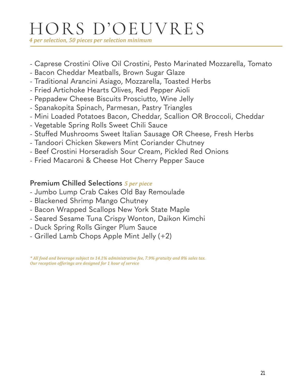## HORS D'OEUVRES

*4 per selection, 50 pieces per selection minimum*

- Caprese Crostini Olive Oil Crostini, Pesto Marinated Mozzarella, Tomato
- Bacon Cheddar Meatballs, Brown Sugar Glaze
- Traditional Arancini Asiago, Mozzarella, Toasted Herbs
- Fried Artichoke Hearts Olives, Red Pepper Aioli
- Peppadew Cheese Biscuits Prosciutto, Wine Jelly
- Spanakopita Spinach, Parmesan, Pastry Triangles
- Mini Loaded Potatoes Bacon, Cheddar, Scallion OR Broccoli, Cheddar
- Vegetable Spring Rolls Sweet Chili Sauce
- Stuffed Mushrooms Sweet Italian Sausage OR Cheese, Fresh Herbs
- Tandoori Chicken Skewers Mint Coriander Chutney
- Beef Crostini Horseradish Sour Cream, Pickled Red Onions
- Fried Macaroni & Cheese Hot Cherry Pepper Sauce

#### **Premium Chilled Selections** *5 per piece*

- Jumbo Lump Crab Cakes Old Bay Remoulade
- Blackened Shrimp Mango Chutney
- Bacon Wrapped Scallops New York State Maple
- Seared Sesame Tuna Crispy Wonton, Daikon Kimchi
- Duck Spring Rolls Ginger Plum Sauce
- Grilled Lamb Chops Apple Mint Jelly (+2)

*\* All food and beverage subject to 14.1% administrative fee, 7.9% gratuity and 8% sales tax. Our reception offerings are designed for 1 hour of service*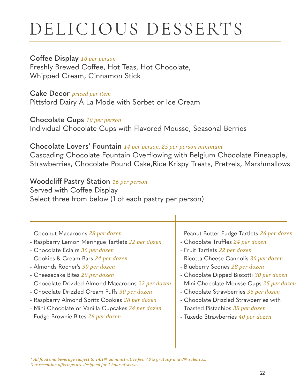## DELICIOUS DESSERTS

#### **Coffee Display** *10 per person*

Freshly Brewed Coffee, Hot Teas, Hot Chocolate, Whipped Cream, Cinnamon Stick

#### **Cake Decor** *priced per item*

Pittsford Dairy Á La Mode with Sorbet or Ice Cream

**Chocolate Cups** *10 per person*

Individual Chocolate Cups with Flavored Mousse, Seasonal Berries

#### **Chocolate Lovers' Fountain** *14 per person, 25 per person minimum*

Cascading Chocolate Fountain Overflowing with Belgium Chocolate Pineapple, Strawberries, Chocolate Pound Cake,Rice Krispy Treats, Pretzels, Marshmallows

#### **Woodcliff Pastry Station** *16 per person*

Served with Coffee Display Select three from below (1 of each pastry per person)

- Coconut Macaroons *28 per dozen* - Raspberry Lemon Meringue Tartlets *22 per dozen* - Chocolate Éclairs *36 per dozen* - Cookies & Cream Bars *24 per dozen* - Almonds Rocher's *30 per dozen* - Cheesecake Bites *20 per dozen* - Chocolate Drizzled Almond Macaroons *22 per dozen* - Chocolate Drizzled Cream Puffs *30 per dozen* - Raspberry Almond Spritz Cookies *28 per dozen* - Mini Chocolate or Vanilla Cupcakes *24 per dozen* - Fudge Brownie Bites *26 per dozen* - Peanut Butter Fudge Tartlets *26 per dozen* - Chocolate Truffles 24 per dozen - Fruit Tartlets *22 per dozen* - Ricotta Cheese Cannolis *30 per dozen* - Blueberry Scones *28 per dozen* - Chocolate Dipped Biscotti *30 per dozen* - Mini Chocolate Mousse Cups *25 per dozen* - Chocolate Strawberries *36 per dozen* - Chocolate Drizzled Strawberries with Toasted Pistachios *38 per dozen* - Tuxedo Strawberries *40 per dozen*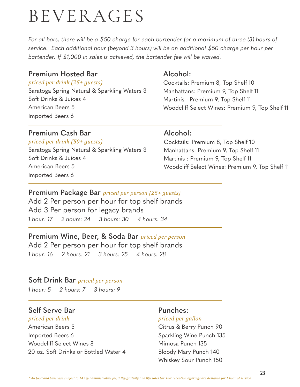## BEVERAGES

*For all bars, there will be a \$50 charge for each bartender for a maximum of three (3) hours of service. Each additional hour (beyond 3 hours) will be an additional \$50 charge per hour per bartender. If \$1,000 in sales is achieved, the bartender fee will be waived.*

#### **Premium Hosted Bar**

#### *priced per drink (25+ guests)*

Saratoga Spring Natural & Sparkling Waters 3 Soft Drinks & Juices 4 American Beers 5 Imported Beers 6

#### **Premium Cash Bar**

#### *priced per drink (50+ guests)*

Saratoga Spring Natural & Sparkling Waters 3 Soft Drinks & Juices 4 American Beers 5 Imported Beers 6

#### **Alcohol:**

Cocktails: Premium 8, Top Shelf 10 Manhattans: Premium 9, Top Shelf 11 Martinis : Premium 9, Top Shelf 11 Woodcliff Select Wines: Premium 9, Top Shelf 11

#### **Alcohol:**

Cocktails: Premium 8, Top Shelf 10 Manhattans: Premium 9, Top Shelf 11 Martinis : Premium 9, Top Shelf 11 Woodcliff Select Wines: Premium 9, Top Shelf 11

#### **Premium Package Bar** *priced per person (25+ guests)*

Add 2 Per person per hour for top shelf brands Add 3 Per person for legacy brands *1 hour: 17 2 hours: 24 3 hours: 30 4 hours: 34*

### **Premium Wine, Beer, & Soda Bar** *priced per person*

Add 2 Per person per hour for top shelf brands *1 hour: 16 2 hours: 21 3 hours: 25 4 hours: 28*

#### **Soft Drink Bar** *priced per person*

*1 hour: 5 2 hours: 7 3 hours: 9*

#### **Self Serve Bar**

*priced per drink* American Beers 5 Imported Beers 6 Woodcliff Select Wines 8 20 oz. Soft Drinks or Bottled Water 4

#### **Punches:**

#### *priced per gallon*

Citrus & Berry Punch 90 Sparkling Wine Punch 135 Mimosa Punch 135 Bloody Mary Punch 140 Whiskey Sour Punch 150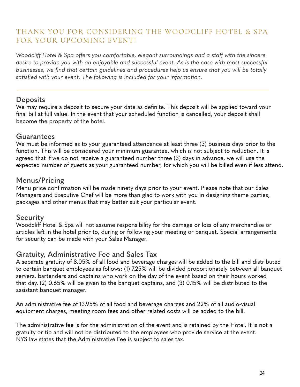#### THANK YOU FOR CONSIDERING THE WOODCLIFF HOTEL & SPA FOR YOUR UPCOMING EVENT!

*Woodcliff Hotel & Spa offers you comfortable, elegant surroundings and a staff with the sincere desire to provide you with an enjoyable and successful event. As is the case with most successful*  businesses, we find that certain guidelines and procedures help us ensure that you will be totally satisfied with your event. The following is included for your information.

#### **Deposits**

We may require a deposit to secure your date as definite. This deposit will be applied toward your final bill at full value. In the event that your scheduled function is cancelled, your deposit shall become the property of the hotel.

#### **Guarantees**

We must be informed as to your guaranteed attendance at least three (3) business days prior to the function. This will be considered your minimum guarantee, which is not subject to reduction. It is agreed that if we do not receive a guaranteed number three (3) days in advance, we will use the expected number of guests as your guaranteed number, for which you will be billed even if less attend.

#### **Menus/Pricing**

Menu price confirmation will be made ninety days prior to your event. Please note that our Sales Managers and Executive Chef will be more than glad to work with you in designing theme parties, packages and other menus that may better suit your particular event.

#### **Security**

Woodcliff Hotel & Spa will not assume responsibility for the damage or loss of any merchandise or articles left in the hotel prior to, during or following your meeting or banquet. Special arrangements for security can be made with your Sales Manager.

#### **Gratuity, Administrative Fee and Sales Tax**

A separate gratuity of 8.05% of all food and beverage charges will be added to the bill and distributed to certain banquet employees as follows: (1) 7.25% will be divided proportionately between all banquet servers, bartenders and captains who work on the day of the event based on their hours worked that day, (2) 0.65% will be given to the banquet captains, and (3) 0.15% will be distributed to the assistant banquet manager.

An administrative fee of 13.95% of all food and beverage charges and 22% of all audio-visual equipment charges, meeting room fees and other related costs will be added to the bill.

The administrative fee is for the administration of the event and is retained by the Hotel. It is not a gratuity or tip and will not be distributed to the employees who provide service at the event. NYS law states that the Administrative Fee is subject to sales tax.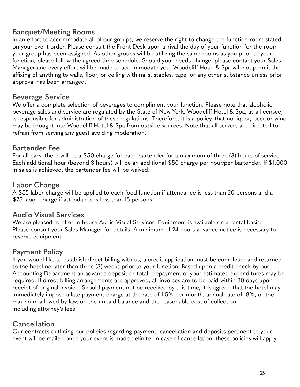#### **Banquet/Meeting Rooms**

In an effort to accommodate all of our groups, we reserve the right to change the function room stated on your event order. Please consult the Front Desk upon arrival the day of your function for the room your group has been assigned. As other groups will be utilizing the same rooms as you prior to your function, please follow the agreed time schedule. Should your needs change, please contact your Sales Manager and every effort will be made to accommodate you. Woodcliff Hotel & Spa will not permit the affixing of anything to walls, floor, or ceiling with nails, staples, tape, or any other substance unless prior approval has been arranged.

#### **Beverage Service**

We offer a complete selection of beverages to compliment your function. Please note that alcoholic beverage sales and service are regulated by the State of New York. Woodcliff Hotel & Spa, as a licensee, is responsible for administration of these regulations. Therefore, it is a policy, that no liquor, beer or wine may be brought into Woodcliff Hotel & Spa from outside sources. Note that all servers are directed to refrain from serving any guest avoiding moderation.

#### **Bartender Fee**

For all bars, there will be a \$50 charge for each bartender for a maximum of three (3) hours of service. Each additional hour (beyond 3 hours) will be an additional \$50 charge per hour/per bartender. If \$1,000 in sales is achieved, the bartender fee will be waived.

#### **Labor Change**

A \$55 labor charge will be applied to each food function if attendance is less than 20 persons and a \$75 labor charge if attendance is less than 15 persons.

#### **Audio Visual Services**

We are pleased to offer in-house Audio-Visual Services. Equipment is available on a rental basis. Please consult your Sales Manager for details. A minimum of 24 hours advance notice is necessary to reserve equipment.

#### **Payment Policy**

If you would like to establish direct billing with us, a credit application must be completed and returned to the hotel no later than three (3) weeks prior to your function. Based upon a credit check by our Accounting Department an advance deposit or total prepayment of your estimated expenditures may be required. If direct billing arrangements are approved, all invoices are to be paid within 30 days upon receipt of original invoice. Should payment not be received by this time, it is agreed that the hotel may immediately impose a late payment charge at the rate of 1.5% per month, annual rate of 18%, or the maximum allowed by law, on the unpaid balance and the reasonable cost of collection, including attorney's fees.

#### **Cancellation**

Our contracts outlining our policies regarding payment, cancellation and deposits pertinent to your event will be mailed once your event is made definite. In case of cancellation, these policies will apply